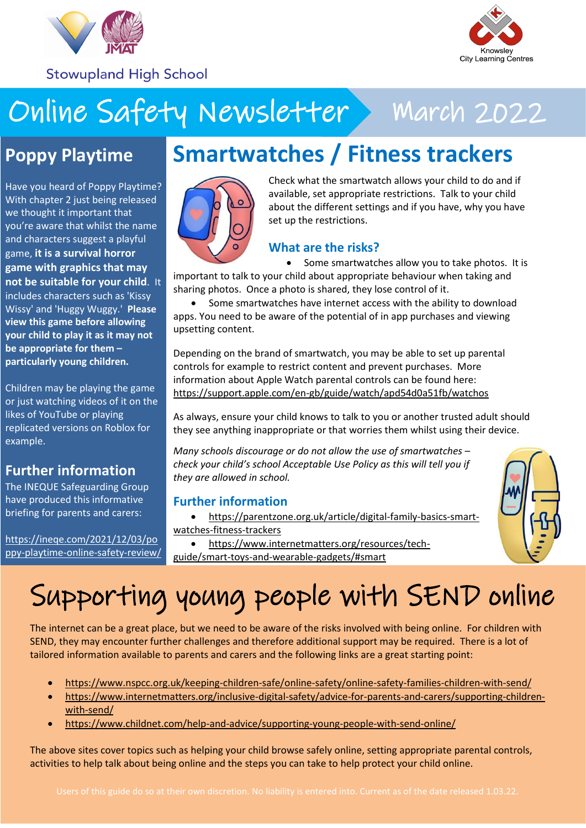

**Stowupland High School** 



# Online Safety Newsletter > March 2022

### **Poppy Playtime**

Have you heard of Poppy Playtime? With chapter 2 just being released we thought it important that you're aware that whilst the name and characters suggest a playful game, **it is a survival horror game with graphics that may not be suitable for your child**. It includes characters such as 'Kissy Wissy' and 'Huggy Wuggy.' **Please view this game before allowing your child to play it as it may not be appropriate for them – particularly young children.**

Children may be playing the game or just watching videos of it on the likes of YouTube or playing replicated versions on Roblox for example.

### **Further information**

The INEQUE Safeguarding Group have produced this informative briefing for parents and carers:

[https://ineqe.com/2021/12/03/po](https://ineqe.com/2021/12/03/poppy-playtime-online-safety-review/) [ppy-playtime-online-safety-review/](https://ineqe.com/2021/12/03/poppy-playtime-online-safety-review/)

### **Smartwatches / Fitness trackers**



Check what the smartwatch allows your child to do and if available, set appropriate restrictions. Talk to your child about the different settings and if you have, why you have set up the restrictions.

### **What are the risks?**

• Some smartwatches allow you to take photos. It is important to talk to your child about appropriate behaviour when taking and sharing photos. Once a photo is shared, they lose control of it.

 Some smartwatches have internet access with the ability to download apps. You need to be aware of the potential of in app purchases and viewing upsetting content.

Depending on the brand of smartwatch, you may be able to set up parental controls for example to restrict content and prevent purchases. More information about Apple Watch parental controls can be found here: <https://support.apple.com/en-gb/guide/watch/apd54d0a51fb/watchos>

As always, ensure your child knows to talk to you or another trusted adult should they see anything inappropriate or that worries them whilst using their device.

*Many schools discourage or do not allow the use of smartwatches – check your child's school Acceptable Use Policy as this will tell you if they are allowed in school.*

#### **Further information**

- [https://parentzone.org.uk/article/digital-family-basics-smart](https://parentzone.org.uk/article/digital-family-basics-smart-watches-fitness-trackers)[watches-fitness-trackers](https://parentzone.org.uk/article/digital-family-basics-smart-watches-fitness-trackers)
- [https://www.internetmatters.org/resources/tech](https://www.internetmatters.org/resources/tech-guide/smart-toys-and-wearable-gadgets/#smart)[guide/smart-toys-and-wearable-gadgets/#smart](https://www.internetmatters.org/resources/tech-guide/smart-toys-and-wearable-gadgets/#smart)



# Supporting young people with SEND online

The internet can be a great place, but we need to be aware of the risks involved with being online. For children with SEND, they may encounter further challenges and therefore additional support may be required. There is a lot of tailored information available to parents and carers and the following links are a great starting point:

- <https://www.nspcc.org.uk/keeping-children-safe/online-safety/online-safety-families-children-with-send/>
- [https://www.internetmatters.org/inclusive-digital-safety/advice-for-parents-and-carers/supporting-children](https://www.internetmatters.org/inclusive-digital-safety/advice-for-parents-and-carers/supporting-children-with-send/)[with-send/](https://www.internetmatters.org/inclusive-digital-safety/advice-for-parents-and-carers/supporting-children-with-send/)
- <https://www.childnet.com/help-and-advice/supporting-young-people-with-send-online/>

The above sites cover topics such as helping your child browse safely online, setting appropriate parental controls, activities to help talk about being online and the steps you can take to help protect your child online.